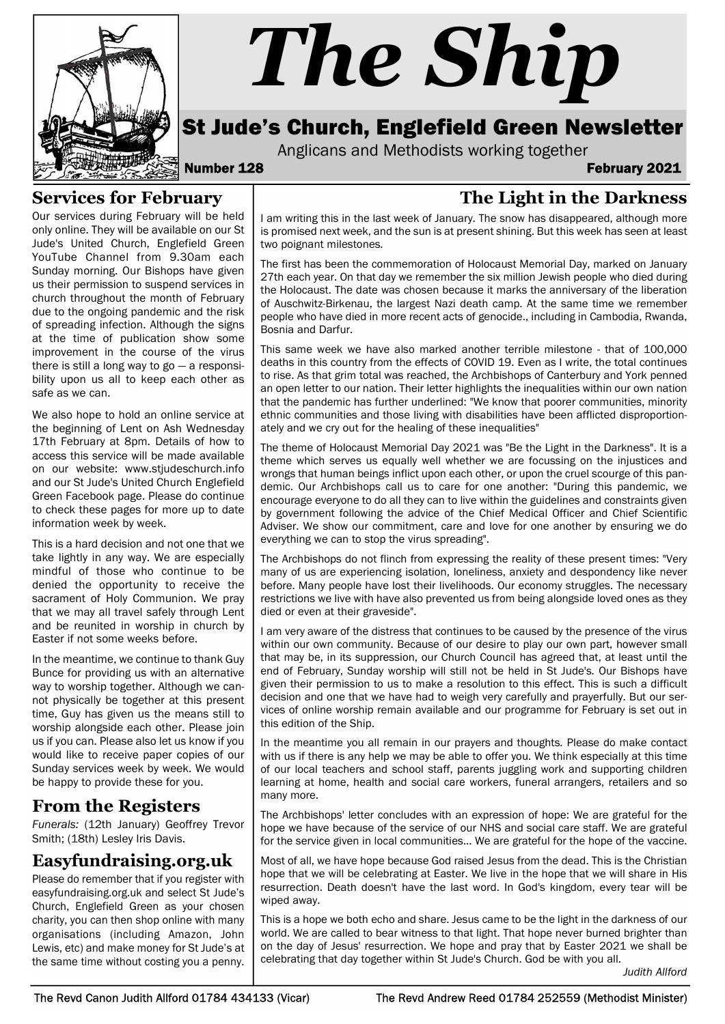

# The Ship

# St Jude's Church, Englefield Green Newsletter

Anglicans and Methodists working together

Number 128 February 2021

# Services for February

Our services during February will be held only online. They will be available on our St Jude's United Church, Englefield Green YouTube Channel from 9.30am each Sunday morning. Our Bishops have given us their permission to suspend services in church throughout the month of February due to the ongoing pandemic and the risk of spreading infection. Although the signs at the time of publication show some improvement in the course of the virus there is still a long way to  $go - a$  responsibility upon us all to keep each other as safe as we can.

We also hope to hold an online service at the beginning of Lent on Ash Wednesday 17th February at 8pm. Details of how to access this service will be made available on our website: www.stjudeschurch.info and our St Jude's United Church Englefield Green Facebook page. Please do continue to check these pages for more up to date information week by week.

This is a hard decision and not one that we take lightly in any way. We are especially mindful of those who continue to be denied the opportunity to receive the sacrament of Holy Communion. We pray that we may all travel safely through Lent and be reunited in worship in church by Easter if not some weeks before.

In the meantime, we continue to thank Guy Bunce for providing us with an alternative way to worship together. Although we cannot physically be together at this present time, Guy has given us the means still to worship alongside each other. Please join us if you can. Please also let us know if you would like to receive paper copies of our Sunday services week by week. We would be happy to provide these for you.

# From the Registers

Funerals: (12th January) Geoffrey Trevor Smith; (18th) Lesley Iris Davis.

# Easyfundraising.org.uk

Please do remember that if you register with easyfundraising.org.uk and select St Jude's Church, Englefield Green as your chosen charity, you can then shop online with many organisations (including Amazon, John Lewis, etc) and make money for St Jude's at the same time without costing you a penny.

# The Light in the Darkness

I am writing this in the last week of January. The snow has disappeared, although more is promised next week, and the sun is at present shining. But this week has seen at least two poignant milestones.

The first has been the commemoration of Holocaust Memorial Day, marked on January 27th each year. On that day we remember the six million Jewish people who died during the Holocaust. The date was chosen because it marks the anniversary of the liberation of Auschwitz-Birkenau, the largest Nazi death camp. At the same time we remember people who have died in more recent acts of genocide., including in Cambodia, Rwanda, Bosnia and Darfur.

This same week we have also marked another terrible milestone - that of 100,000 deaths in this country from the effects of COVID 19. Even as I write, the total continues to rise. As that grim total was reached, the Archbishops of Canterbury and York penned an open letter to our nation. Their letter highlights the inequalities within our own nation that the pandemic has further underlined: "We know that poorer communities, minority ethnic communities and those living with disabilities have been afflicted disproportionately and we cry out for the healing of these inequalities"

The theme of Holocaust Memorial Day 2021 was "Be the Light in the Darkness". It is a theme which serves us equally well whether we are focussing on the injustices and wrongs that human beings inflict upon each other, or upon the cruel scourge of this pandemic. Our Archbishops call us to care for one another: "During this pandemic, we encourage everyone to do all they can to live within the guidelines and constraints given by government following the advice of the Chief Medical Officer and Chief Scientific Adviser. We show our commitment, care and love for one another by ensuring we do everything we can to stop the virus spreading".

The Archbishops do not flinch from expressing the reality of these present times: "Very many of us are experiencing isolation, loneliness, anxiety and despondency like never before. Many people have lost their livelihoods. Our economy struggles. The necessary restrictions we live with have also prevented us from being alongside loved ones as they died or even at their graveside".

I am very aware of the distress that continues to be caused by the presence of the virus within our own community. Because of our desire to play our own part, however small that may be, in its suppression, our Church Council has agreed that, at least until the end of February, Sunday worship will still not be held in St Jude's. Our Bishops have given their permission to us to make a resolution to this effect. This is such a difficult decision and one that we have had to weigh very carefully and prayerfully. But our services of online worship remain available and our programme for February is set out in this edition of the Ship.

In the meantime you all remain in our prayers and thoughts. Please do make contact with us if there is any help we may be able to offer you. We think especially at this time of our local teachers and school staff, parents juggling work and supporting children learning at home, health and social care workers, funeral arrangers, retailers and so many more.

The Archbishops' letter concludes with an expression of hope: We are grateful for the hope we have because of the service of our NHS and social care staff. We are grateful for the service given in local communities... We are grateful for the hope of the vaccine.

Most of all, we have hope because God raised Jesus from the dead. This is the Christian hope that we will be celebrating at Easter. We live in the hope that we will share in His resurrection. Death doesn't have the last word. In God's kingdom, every tear will be wiped away.

This is a hope we both echo and share. Jesus came to be the light in the darkness of our world. We are called to bear witness to that light. That hope never burned brighter than on the day of Jesus' resurrection. We hope and pray that by Easter 2021 we shall be celebrating that day together within St Jude's Church. God be with you all.

Judith Allford